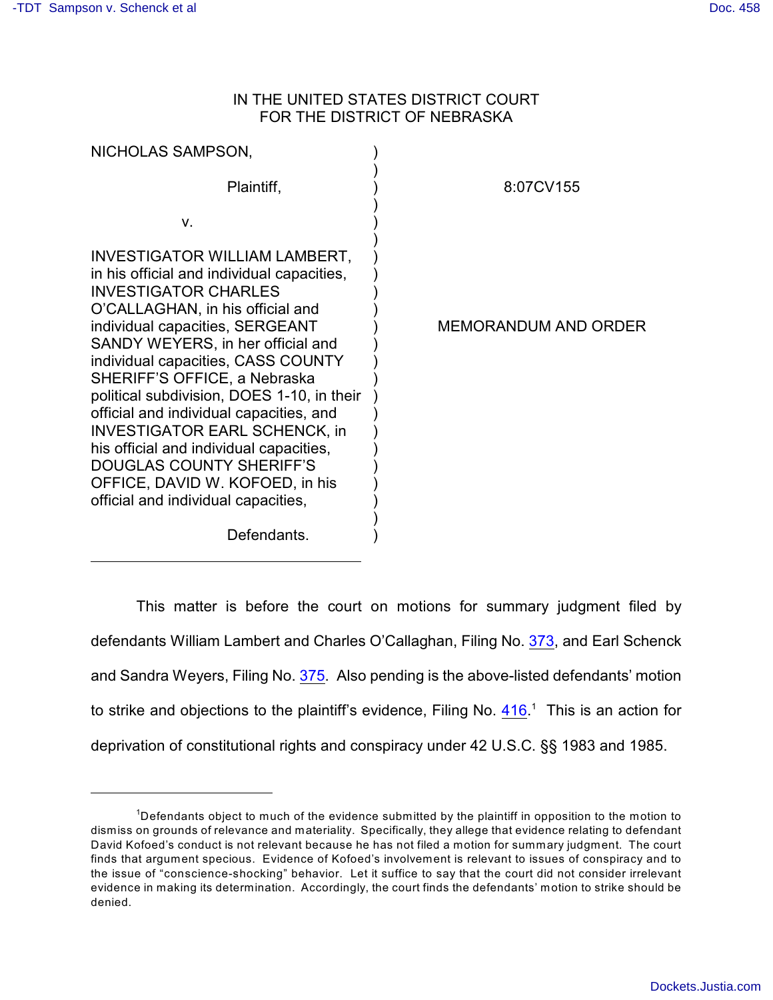# IN THE UNITED STATES DISTRICT COURT FOR THE DISTRICT OF NEBRASKA

| NICHOLAS SAMPSON,                                                                                                                                                                                                                                                                                                                                                                                                                                                                                                                                                                     |                             |
|---------------------------------------------------------------------------------------------------------------------------------------------------------------------------------------------------------------------------------------------------------------------------------------------------------------------------------------------------------------------------------------------------------------------------------------------------------------------------------------------------------------------------------------------------------------------------------------|-----------------------------|
| Plaintiff,                                                                                                                                                                                                                                                                                                                                                                                                                                                                                                                                                                            | 8:07CV155                   |
| v.                                                                                                                                                                                                                                                                                                                                                                                                                                                                                                                                                                                    |                             |
| <b>INVESTIGATOR WILLIAM LAMBERT,</b><br>in his official and individual capacities,<br><b>INVESTIGATOR CHARLES</b><br>O'CALLAGHAN, in his official and<br>individual capacities, SERGEANT<br>SANDY WEYERS, in her official and<br>individual capacities, CASS COUNTY<br>SHERIFF'S OFFICE, a Nebraska<br>political subdivision, DOES 1-10, in their<br>official and individual capacities, and<br><b>INVESTIGATOR EARL SCHENCK, in</b><br>his official and individual capacities,<br>DOUGLAS COUNTY SHERIFF'S<br>OFFICE, DAVID W. KOFOED, in his<br>official and individual capacities, | <b>MEMORANDUM AND ORDER</b> |

Defendants.

This matter is before the court on motions for summary judgment filed by defendants William Lambert and Charles O'Callaghan, Filing No. [373](http://ecf.ned.uscourts.gov/doc1/11302029110), and Earl Schenck and Sandra Weyers, Filing No. [375](http://ecf.ned.uscourts.gov/doc1/11302029269). Also pending is the above-listed defendants' motion to strike and objections to the plaintiff's evidence, Filing No.  $416<sup>1</sup>$  $416<sup>1</sup>$  This is an action for deprivation of constitutional rights and conspiracy under 42 U.S.C. §§ 1983 and 1985.

)

<sup>&</sup>lt;sup>1</sup>Defendants object to much of the evidence submitted by the plaintiff in opposition to the motion to dismiss on grounds of relevance and materiality. Specifically, they allege that evidence relating to defendant David Kofoed's conduct is not relevant because he has not filed a motion for summary judgment. The court finds that argument specious. Evidence of Kofoed's involvement is relevant to issues of conspiracy and to the issue of "conscience-shocking" behavior. Let it suffice to say that the court did not consider irrelevant evidence in making its determination. Accordingly, the court finds the defendants' motion to strike should be denied.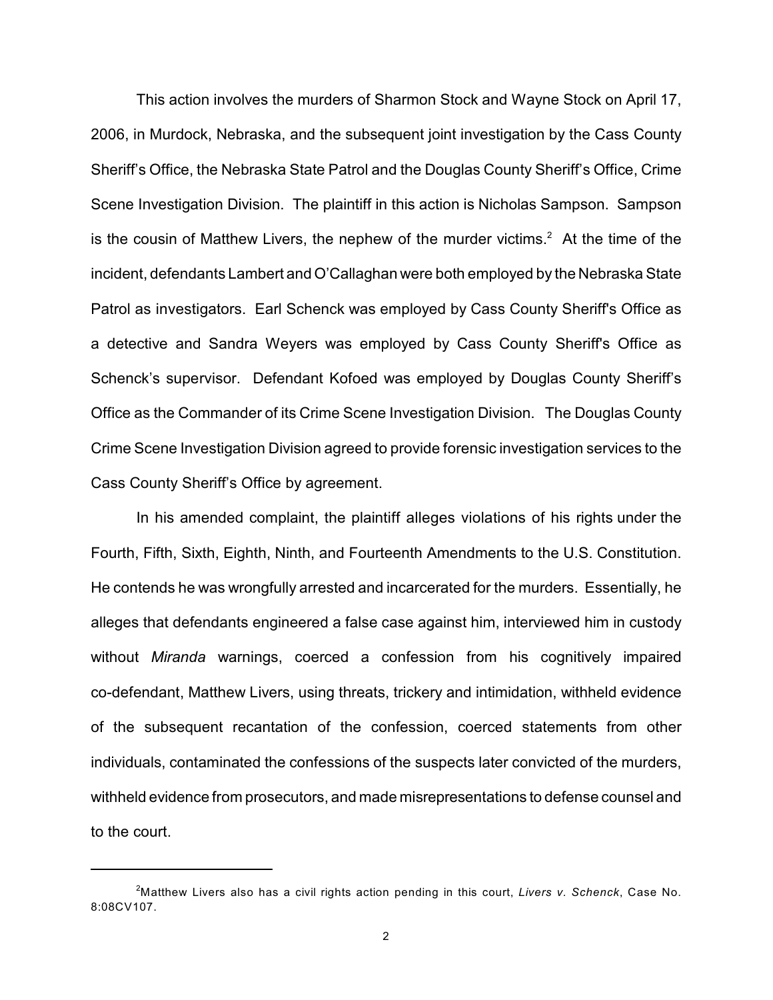This action involves the murders of Sharmon Stock and Wayne Stock on April 17, 2006, in Murdock, Nebraska, and the subsequent joint investigation by the Cass County Sheriff's Office, the Nebraska State Patrol and the Douglas County Sheriff's Office, Crime Scene Investigation Division. The plaintiff in this action is Nicholas Sampson. Sampson is the cousin of Matthew Livers, the nephew of the murder victims.<sup>2</sup> At the time of the incident, defendants Lambert and O'Callaghan were both employed by the Nebraska State Patrol as investigators. Earl Schenck was employed by Cass County Sheriff's Office as a detective and Sandra Weyers was employed by Cass County Sheriff's Office as Schenck's supervisor. Defendant Kofoed was employed by Douglas County Sheriff's Office as the Commander of its Crime Scene Investigation Division. The Douglas County Crime Scene Investigation Division agreed to provide forensic investigation services to the Cass County Sheriff's Office by agreement.

In his amended complaint, the plaintiff alleges violations of his rights under the Fourth, Fifth, Sixth, Eighth, Ninth, and Fourteenth Amendments to the U.S. Constitution. He contends he was wrongfully arrested and incarcerated for the murders. Essentially, he alleges that defendants engineered a false case against him, interviewed him in custody without *Miranda* warnings, coerced a confession from his cognitively impaired co-defendant, Matthew Livers, using threats, trickery and intimidation, withheld evidence of the subsequent recantation of the confession, coerced statements from other individuals, contaminated the confessions of the suspects later convicted of the murders, withheld evidence from prosecutors, and made misrepresentations to defense counsel and to the court.

<sup>&</sup>lt;sup>2</sup>Matthew Livers also has a civil rights action pending in this court, Livers v. Schenck, Case No. 8:08CV107.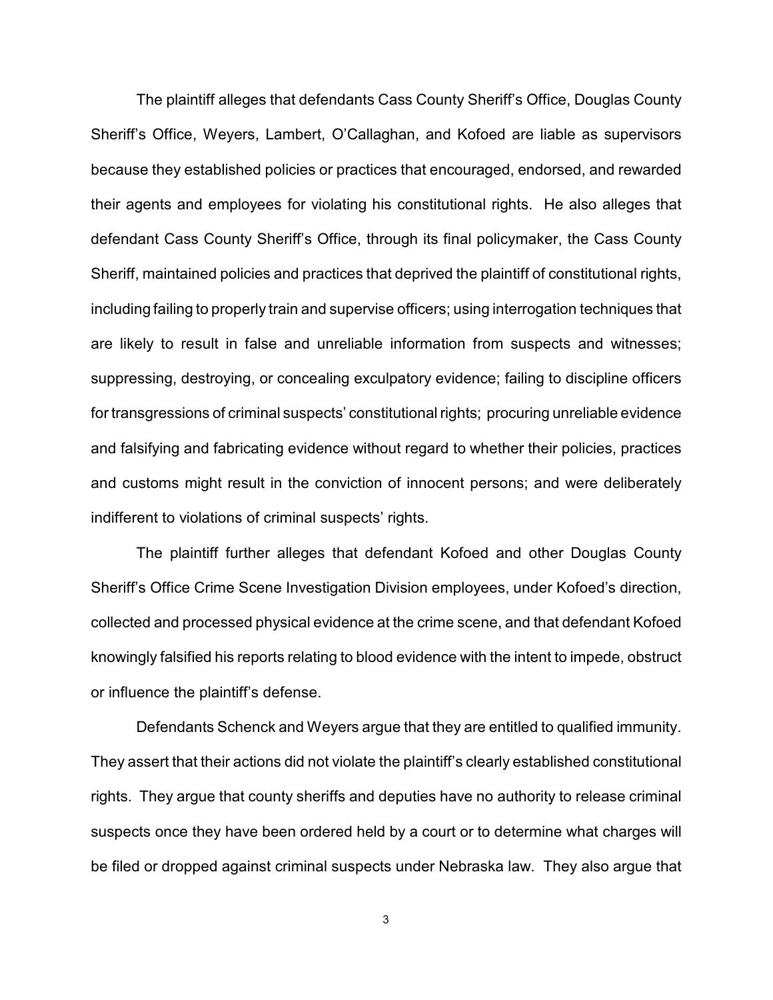The plaintiff alleges that defendants Cass County Sheriff's Office, Douglas County Sheriff's Office, Weyers, Lambert, O'Callaghan, and Kofoed are liable as supervisors because they established policies or practices that encouraged, endorsed, and rewarded their agents and employees for violating his constitutional rights. He also alleges that defendant Cass County Sheriff's Office, through its final policymaker, the Cass County Sheriff, maintained policies and practices that deprived the plaintiff of constitutional rights, including failing to properly train and supervise officers; using interrogation techniques that are likely to result in false and unreliable information from suspects and witnesses; suppressing, destroying, or concealing exculpatory evidence; failing to discipline officers for transgressions of criminal suspects' constitutional rights; procuring unreliable evidence and falsifying and fabricating evidence without regard to whether their policies, practices and customs might result in the conviction of innocent persons; and were deliberately indifferent to violations of criminal suspects' rights.

The plaintiff further alleges that defendant Kofoed and other Douglas County Sheriff's Office Crime Scene Investigation Division employees, under Kofoed's direction, collected and processed physical evidence at the crime scene, and that defendant Kofoed knowingly falsified his reports relating to blood evidence with the intent to impede, obstruct or influence the plaintiff's defense.

Defendants Schenck and Weyers argue that they are entitled to qualified immunity. They assert that their actions did not violate the plaintiff's clearly established constitutional rights. They argue that county sheriffs and deputies have no authority to release criminal suspects once they have been ordered held by a court or to determine what charges will be filed or dropped against criminal suspects under Nebraska law. They also argue that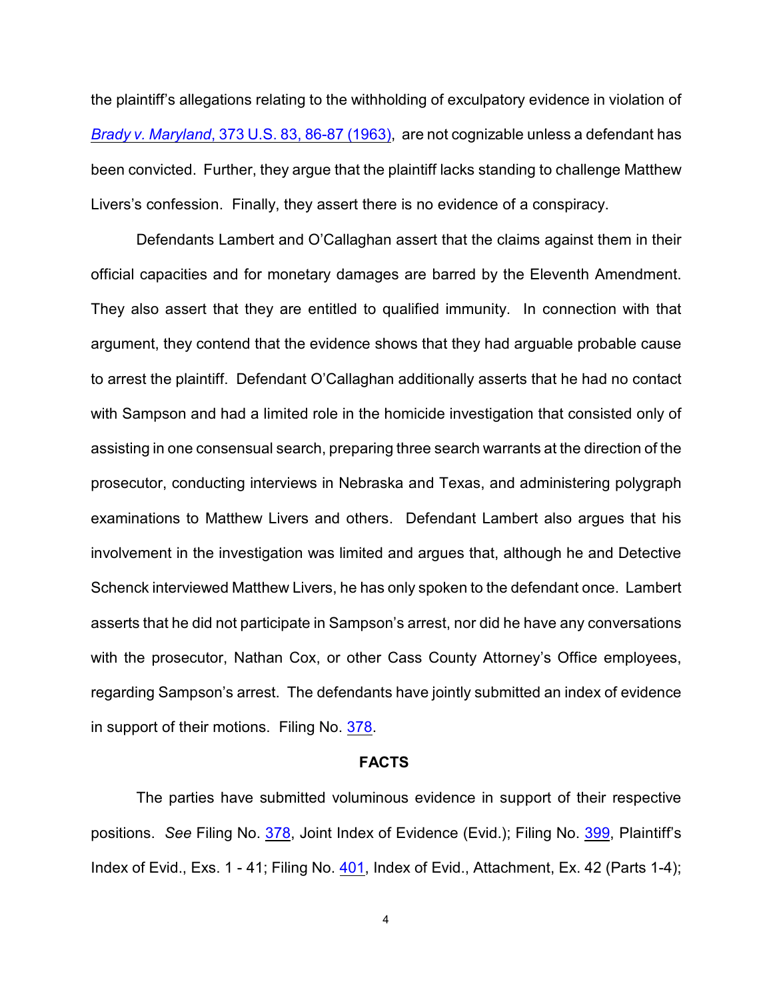the plaintiff's allegations relating to the withholding of exculpatory evidence in violation of *Brady v. Maryland*[, 373 U.S. 83, 86-87 \(1963\)](http://www.westlaw.com/find/default.wl?rs=CLWP3.0&vr=2.0&cite=373+U.S.+83), are not cognizable unless a defendant has been convicted. Further, they argue that the plaintiff lacks standing to challenge Matthew Livers's confession. Finally, they assert there is no evidence of a conspiracy.

Defendants Lambert and O'Callaghan assert that the claims against them in their official capacities and for monetary damages are barred by the Eleventh Amendment. They also assert that they are entitled to qualified immunity. In connection with that argument, they contend that the evidence shows that they had arguable probable cause to arrest the plaintiff. Defendant O'Callaghan additionally asserts that he had no contact with Sampson and had a limited role in the homicide investigation that consisted only of assisting in one consensual search, preparing three search warrants at the direction of the prosecutor, conducting interviews in Nebraska and Texas, and administering polygraph examinations to Matthew Livers and others. Defendant Lambert also argues that his involvement in the investigation was limited and argues that, although he and Detective Schenck interviewed Matthew Livers, he has only spoken to the defendant once. Lambert asserts that he did not participate in Sampson's arrest, nor did he have any conversations with the prosecutor, Nathan Cox, or other Cass County Attorney's Office employees, regarding Sampson's arrest. The defendants have jointly submitted an index of evidence in support of their motions. Filing No. [378](http://ecf.ned.uscourts.gov/doc1/11302029878).

### **FACTS**

The parties have submitted voluminous evidence in support of their respective positions. *See* Filing No. [378](http://ecf.ned.uscourts.gov/doc1/11302029878), Joint Index of Evidence (Evid.); Filing No. [399](http://ecf.ned.uscourts.gov/doc1/11302080883), Plaintiff's Index of Evid., Exs. 1 - 41; Filing No. [401](http://ecf.ned.uscourts.gov/doc1/11302080930), Index of Evid., Attachment, Ex. 42 (Parts 1-4);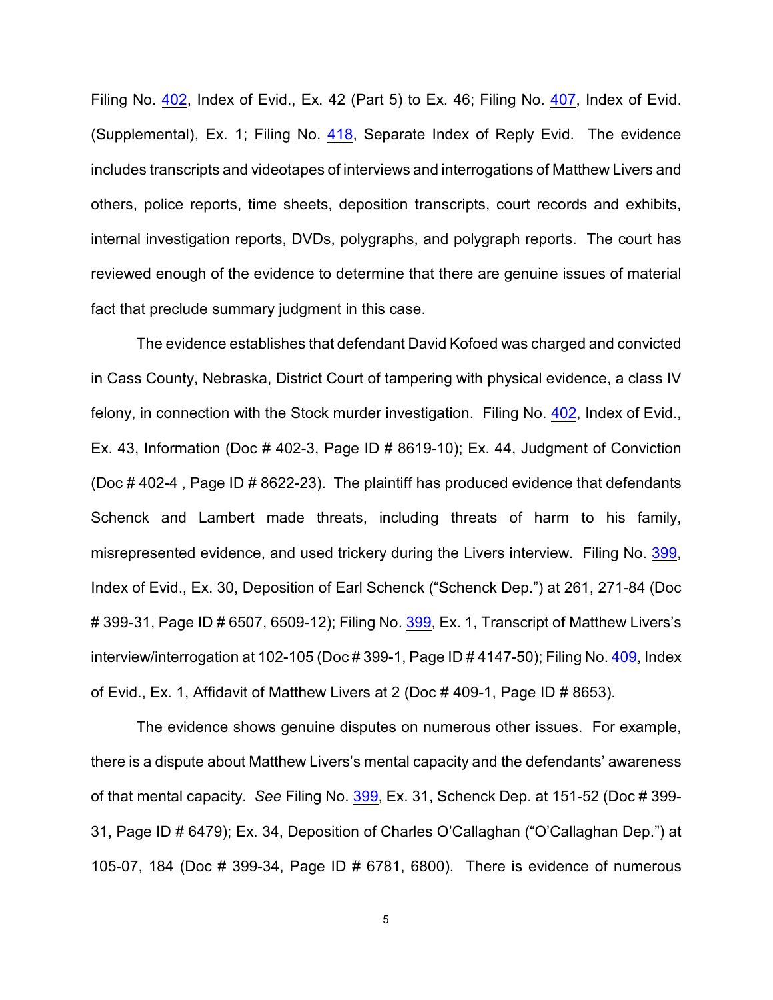Filing No. [402](http://ecf.ned.uscourts.gov/doc1/11302080937), Index of Evid., Ex. 42 (Part 5) to Ex. 46; Filing No. [407](http://ecf.ned.uscourts.gov/doc1/11302086433), Index of Evid. (Supplemental), Ex. 1; Filing No. [418](http://ecf.ned.uscourts.gov/doc1/11302125244), Separate Index of Reply Evid. The evidence includes transcripts and videotapes of interviews and interrogations of Matthew Livers and others, police reports, time sheets, deposition transcripts, court records and exhibits, internal investigation reports, DVDs, polygraphs, and polygraph reports. The court has reviewed enough of the evidence to determine that there are genuine issues of material fact that preclude summary judgment in this case.

The evidence establishes that defendant David Kofoed was charged and convicted in Cass County, Nebraska, District Court of tampering with physical evidence, a class IV felony, in connection with the Stock murder investigation. Filing No. [402](http://ecf.ned.uscourts.gov/doc1/11302080937), Index of Evid., Ex. 43, Information (Doc  $\#$  402-3, Page ID  $\#$  8619-10); Ex. 44, Judgment of Conviction (Doc # 402-4 , Page ID # 8622-23). The plaintiff has produced evidence that defendants Schenck and Lambert made threats, including threats of harm to his family, misrepresented evidence, and used trickery during the Livers interview. Filing No. [399](http://ecf.ned.uscourts.gov/doc1/11302080883), Index of Evid., Ex. 30, Deposition of Earl Schenck ("Schenck Dep.") at 261, 271-84 (Doc # 399-31, Page ID # 6507, 6509-12); Filing No. [399](http://ecf.ned.uscourts.gov/doc1/11302080883), Ex. 1, Transcript of Matthew Livers's interview/interrogation at 102-105 (Doc # 399-1, Page ID # 4147-50); Filing No. [409](http://ecf.ned.uscourts.gov/doc1/11302089239), Index of Evid., Ex. 1, Affidavit of Matthew Livers at 2 (Doc # 409-1, Page ID # 8653).

The evidence shows genuine disputes on numerous other issues. For example, there is a dispute about Matthew Livers's mental capacity and the defendants' awareness of that mental capacity. *See* Filing No. [399](http://ecf.ned.uscourts.gov/doc1/11302080883), Ex. 31, Schenck Dep. at 151-52 (Doc # 399- 31, Page ID # 6479); Ex. 34, Deposition of Charles O'Callaghan ("O'Callaghan Dep.") at 105-07, 184 (Doc # 399-34, Page ID # 6781, 6800). There is evidence of numerous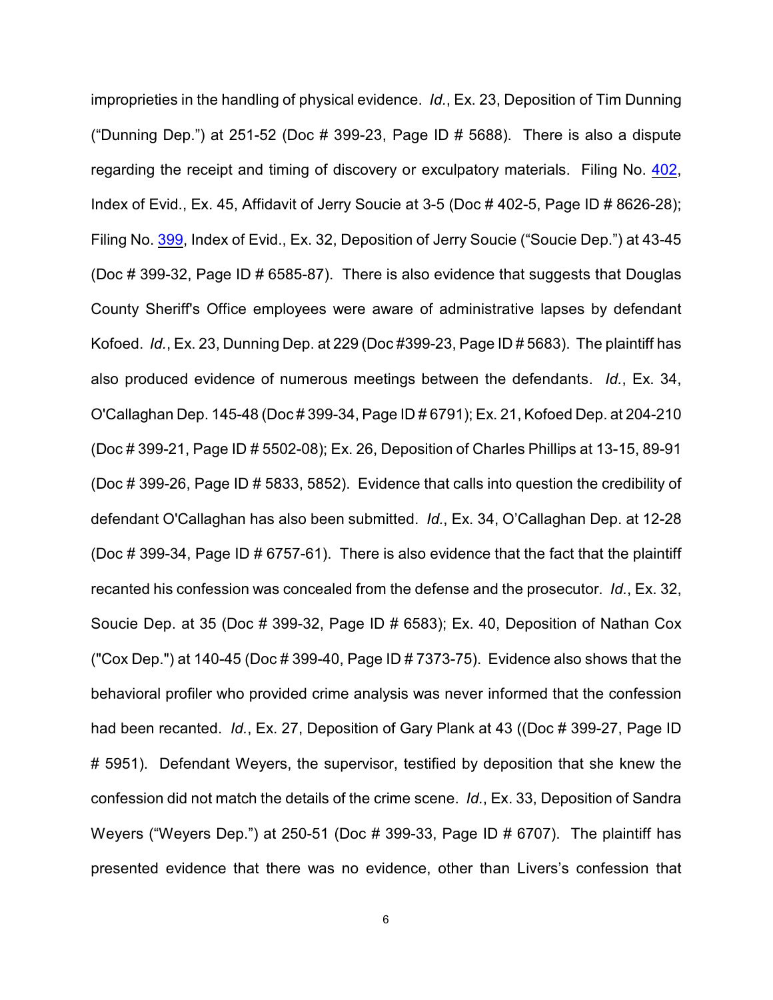improprieties in the handling of physical evidence. *Id.*, Ex. 23, Deposition of Tim Dunning ("Dunning Dep.") at 251-52 (Doc  $\#$  399-23, Page ID  $\#$  5688). There is also a dispute regarding the receipt and timing of discovery or exculpatory materials. Filing No. [402](http://ecf.ned.uscourts.gov/doc1/11302080937), Index of Evid., Ex. 45, Affidavit of Jerry Soucie at 3-5 (Doc # 402-5, Page ID # 8626-28); Filing No. [399](http://ecf.ned.uscourts.gov/doc1/11302080883), Index of Evid., Ex. 32, Deposition of Jerry Soucie ("Soucie Dep.") at 43-45 (Doc # 399-32, Page ID # 6585-87). There is also evidence that suggests that Douglas County Sheriff's Office employees were aware of administrative lapses by defendant Kofoed. *Id.*, Ex. 23, Dunning Dep. at 229 (Doc #399-23, Page ID # 5683). The plaintiff has also produced evidence of numerous meetings between the defendants. *Id.*, Ex. 34, O'Callaghan Dep. 145-48 (Doc # 399-34, Page ID # 6791); Ex. 21, Kofoed Dep. at 204-210 (Doc # 399-21, Page ID # 5502-08); Ex. 26, Deposition of Charles Phillips at 13-15, 89-91 (Doc # 399-26, Page ID # 5833, 5852). Evidence that calls into question the credibility of defendant O'Callaghan has also been submitted. *Id.*, Ex. 34, O'Callaghan Dep. at 12-28 (Doc # 399-34, Page ID # 6757-61). There is also evidence that the fact that the plaintiff recanted his confession was concealed from the defense and the prosecutor. *Id.*, Ex. 32, Soucie Dep. at 35 (Doc # 399-32, Page ID # 6583); Ex. 40, Deposition of Nathan Cox ("Cox Dep.") at 140-45 (Doc # 399-40, Page ID # 7373-75). Evidence also shows that the behavioral profiler who provided crime analysis was never informed that the confession had been recanted. *Id.*, Ex. 27, Deposition of Gary Plank at 43 ((Doc # 399-27, Page ID # 5951). Defendant Weyers, the supervisor, testified by deposition that she knew the confession did not match the details of the crime scene. *Id.*, Ex. 33, Deposition of Sandra Weyers ("Weyers Dep.") at 250-51 (Doc # 399-33, Page ID # 6707). The plaintiff has presented evidence that there was no evidence, other than Livers's confession that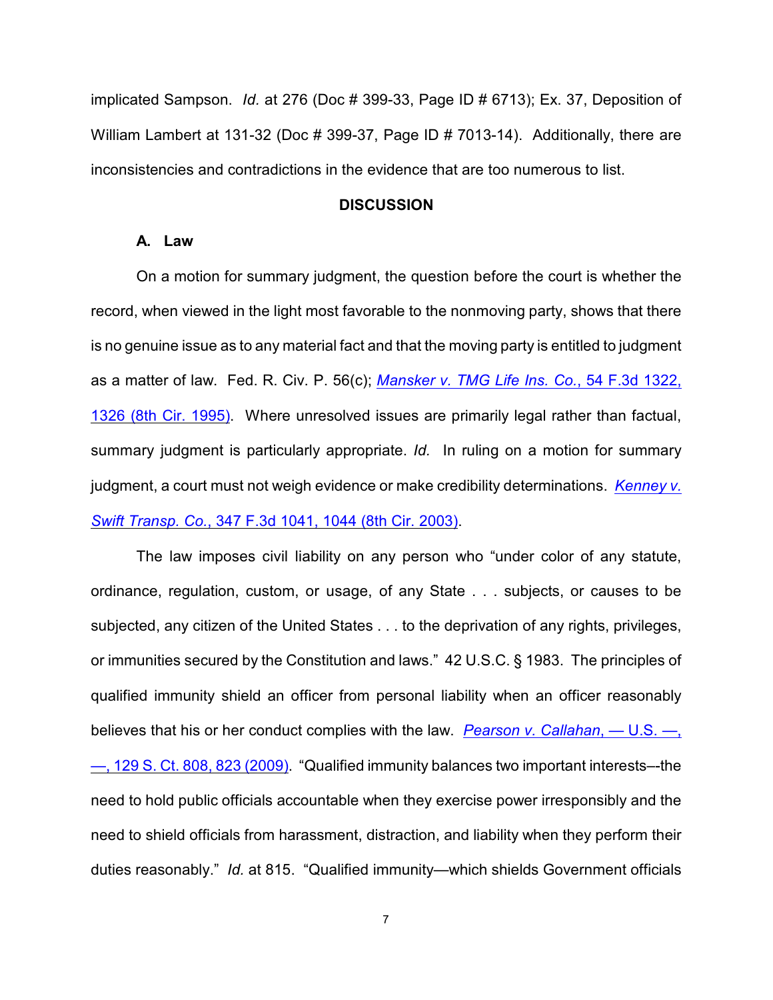implicated Sampson. *Id.* at 276 (Doc # 399-33, Page ID # 6713); Ex. 37, Deposition of William Lambert at 131-32 (Doc # 399-37, Page ID # 7013-14). Additionally, there are inconsistencies and contradictions in the evidence that are too numerous to list.

### **DISCUSSION**

## **A. Law**

On a motion for summary judgment, the question before the court is whether the record, when viewed in the light most favorable to the nonmoving party, shows that there is no genuine issue as to any material fact and that the moving party is entitled to judgment as a matter of law. Fed. R. Civ. P. 56(c); *[Mansker v. TMG Life Ins. Co.](http://www.westlaw.com/find/default.wl?rs=CLWP3.0&vr=2.0&cite=54+F.3d+1322)*, 54 F.3d 1322, [1326 \(8th Cir. 1995\)](http://www.westlaw.com/find/default.wl?rs=CLWP3.0&vr=2.0&cite=54+F.3d+1322). Where unresolved issues are primarily legal rather than factual, summary judgment is particularly appropriate. *Id.* In ruling on a motion for summary judgment, a court must not weigh evidence or make credibility determinations. *[Kenney v.](http://www.westlaw.com/find/default.wl?rs=CLWP3.0&vr=2.0&cite=347+F.3d+1041) Swift Transp. Co.*[, 347 F.3d 1041, 1044 \(8th Cir. 2003\)](http://www.westlaw.com/find/default.wl?rs=CLWP3.0&vr=2.0&cite=347+F.3d+1041).

The law imposes civil liability on any person who "under color of any statute, ordinance, regulation, custom, or usage, of any State . . . subjects, or causes to be subjected, any citizen of the United States . . . to the deprivation of any rights, privileges, or immunities secured by the Constitution and laws." 42 U.S.C. § 1983. The principles of qualified immunity shield an officer from personal liability when an officer reasonably believes that his or her conduct complies with the law. *[Pearson v. Callahan](http://www.westlaw.com/find/default.wl?rs=CLWP3.0&vr=2.0&cite=129+S.Ct.+808)*, — U.S. —, [—, 129 S. Ct. 808, 823 \(2009\)](http://www.westlaw.com/find/default.wl?rs=CLWP3.0&vr=2.0&cite=129+S.Ct.+808). "Qualified immunity balances two important interests–-the need to hold public officials accountable when they exercise power irresponsibly and the need to shield officials from harassment, distraction, and liability when they perform their duties reasonably." *Id.* at 815. "Qualified immunity—which shields Government officials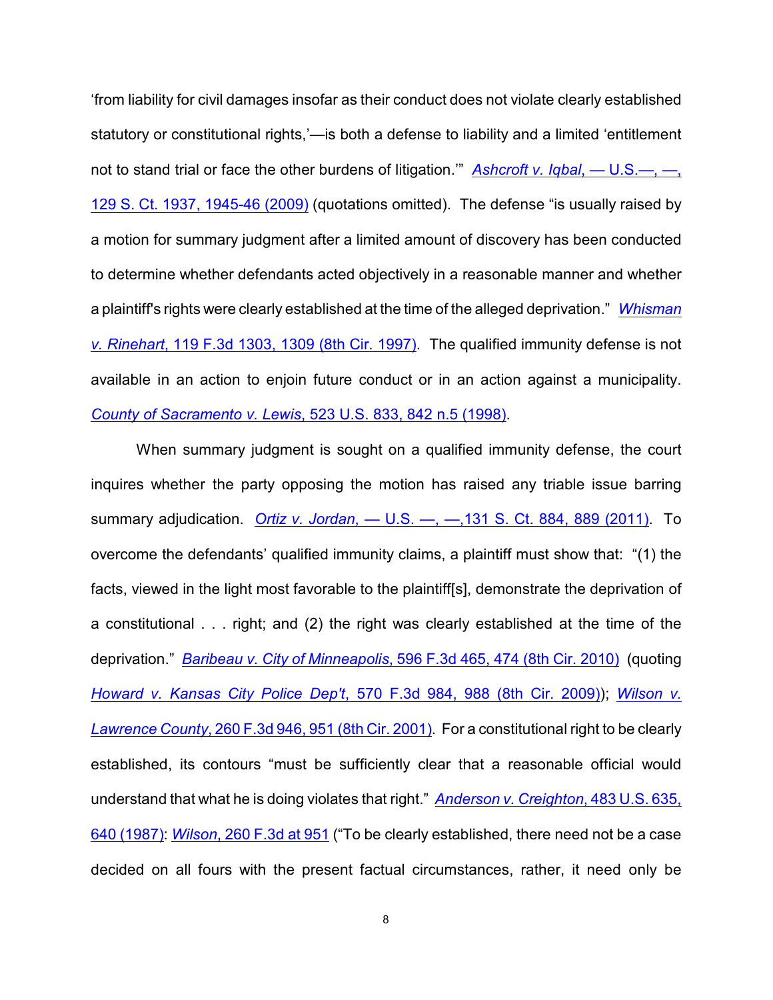'from liability for civil damages insofar as their conduct does not violate clearly established statutory or constitutional rights,'—is both a defense to liability and a limited 'entitlement not to stand trial or face the other burdens of litigation.'" *[Ashcroft v. Iqbal](http://www.westlaw.com/find/default.wl?rs=CLWP3.0&vr=2.0&cite=129+S.Ct.+1937)*, — U.S.—, —, [129 S. Ct. 1937, 1945-46 \(2009\)](http://www.westlaw.com/find/default.wl?rs=CLWP3.0&vr=2.0&cite=129+S.Ct.+1937) (quotations omitted). The defense "is usually raised by a motion for summary judgment after a limited amount of discovery has been conducted to determine whether defendants acted objectively in a reasonable manner and whether a plaintiff's rights were clearly established at the time of the alleged deprivation." *[Whisman](http://www.westlaw.com/find/default.wl?rs=CLWP3.0&vr=2.0&cite=119+F.3d+1303) v. Rinehart*[, 119 F.3d 1303, 1309 \(8th Cir. 1997\)](http://www.westlaw.com/find/default.wl?rs=CLWP3.0&vr=2.0&cite=119+F.3d+1303). The qualified immunity defense is not available in an action to enjoin future conduct or in an action against a municipality. *[County of Sacramento v. Lewis](http://www.westlaw.com/find/default.wl?rs=CLWP3.0&vr=2.0&cite=523+U.S.+833)*, 523 U.S. 833, 842 n.5 (1998).

When summary judgment is sought on a qualified immunity defense, the court inquires whether the party opposing the motion has raised any triable issue barring summary adjudication. *Ortiz v. Jordan*[, — U.S. —, —,131 S. Ct. 884, 889 \(2011\)](http://www.westlaw.com/find/default.wl?rs=CLWP3.0&vr=2.0&cite=131+S.Ct.+884). To overcome the defendants' qualified immunity claims, a plaintiff must show that: "(1) the facts, viewed in the light most favorable to the plaintiff[s], demonstrate the deprivation of a constitutional . . . right; and (2) the right was clearly established at the time of the deprivation." *Baribeau v. City of Minneapolis*[, 596 F.3d 465, 474 \(8th Cir. 2010\)](http://www.westlaw.com/find/default.wl?rs=CLWP3.0&vr=2.0&cite=596+F.3d+465) (quoting *[Howard v. Kansas City Police Dep't](http://www.westlaw.com/find/default.wl?rs=CLWP3.0&vr=2.0&cite=570+F.3d+984)*, 570 F.3d 984, 988 (8th Cir. 2009)); *[Wilson v.](http://www.westlaw.com/find/default.wl?rs=CLWP3.0&vr=2.0&cite=260+F.3d+946) Lawrence County*[, 260 F.3d 946, 951 \(8th Cir. 2001\)](http://www.westlaw.com/find/default.wl?rs=CLWP3.0&vr=2.0&cite=260+F.3d+946). For a constitutional right to be clearly established, its contours "must be sufficiently clear that a reasonable official would understand that what he is doing violates that right." *[Anderson v. Creighton](http://www.westlaw.com/find/default.wl?rs=CLWP3.0&vr=2.0&cite=483+U.S.+635)*, 483 U.S. 635, [640 \(1987\)](http://www.westlaw.com/find/default.wl?rs=CLWP3.0&vr=2.0&cite=483+U.S.+635): *Wilson*[, 260 F.3d at 951](http://www.westlaw.com/find/default.wl?rs=CLWP3.0&vr=2.0&cite=260+F.3d+951) ("To be clearly established, there need not be a case decided on all fours with the present factual circumstances, rather, it need only be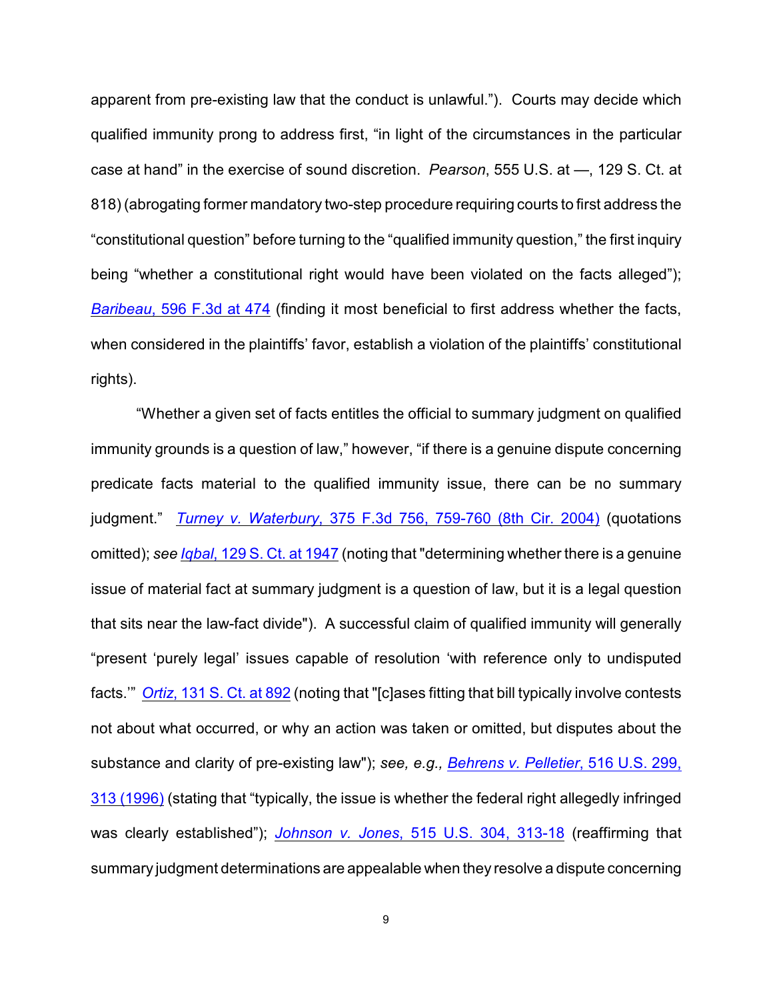apparent from pre-existing law that the conduct is unlawful."). Courts may decide which qualified immunity prong to address first, "in light of the circumstances in the particular case at hand" in the exercise of sound discretion. *Pearson*, 555 U.S. at —, 129 S. Ct. at 818) (abrogating former mandatory two-step procedure requiring courts to first address the "constitutional question" before turning to the "qualified immunity question," the first inquiry being "whether a constitutional right would have been violated on the facts alleged"); *Baribeau*[, 596 F.3d at 474](http://www.westlaw.com/find/default.wl?rs=CLWP3.0&vr=2.0&cite=596+F.3d+474) (finding it most beneficial to first address whether the facts, when considered in the plaintiffs' favor, establish a violation of the plaintiffs' constitutional rights).

"Whether a given set of facts entitles the official to summary judgment on qualified immunity grounds is a question of law," however, "if there is a genuine dispute concerning predicate facts material to the qualified immunity issue, there can be no summary judgment." *Turney v. Waterbury*[, 375 F.3d 756, 759-760 \(8th Cir. 2004\)](http://www.westlaw.com/find/default.wl?rs=CLWP3.0&vr=2.0&cite=375+F.3d+756) (quotations omitted); *see Iqbal*[, 129 S. Ct. at 1947](http://www.westlaw.com/find/default.wl?rs=CLWP3.0&vr=2.0&cite=129+S.Ct.+1947) (noting that "determining whether there is a genuine issue of material fact at summary judgment is a question of law, but it is a legal question that sits near the law-fact divide"). A successful claim of qualified immunity will generally "present 'purely legal' issues capable of resolution 'with reference only to undisputed facts.'" *Ortiz*[, 131 S. Ct. at 892](http://www.westlaw.com/find/default.wl?rs=CLWP3.0&vr=2.0&cite=131+S.Ct.+892) (noting that "[c]ases fitting that bill typically involve contests not about what occurred, or why an action was taken or omitted, but disputes about the substance and clarity of pre-existing law"); *see, e.g., [Behrens v. Pelletier](http://www.westlaw.com/find/default.wl?rs=CLWP3.0&vr=2.0&cite=516+U.S.+299)*, 516 U.S. 299, [313 \(1996\)](http://www.westlaw.com/find/default.wl?rs=CLWP3.0&vr=2.0&cite=516+U.S.+299) (stating that "typically, the issue is whether the federal right allegedly infringed was clearly established"); *Johnson v. Jones*[, 515 U.S. 304, 313-18](http://www.westlaw.com/find/default.wl?rs=CLWP3.0&vr=2.0&cite=515+U.S.+304) (reaffirming that summary judgment determinations are appealable when they resolve a dispute concerning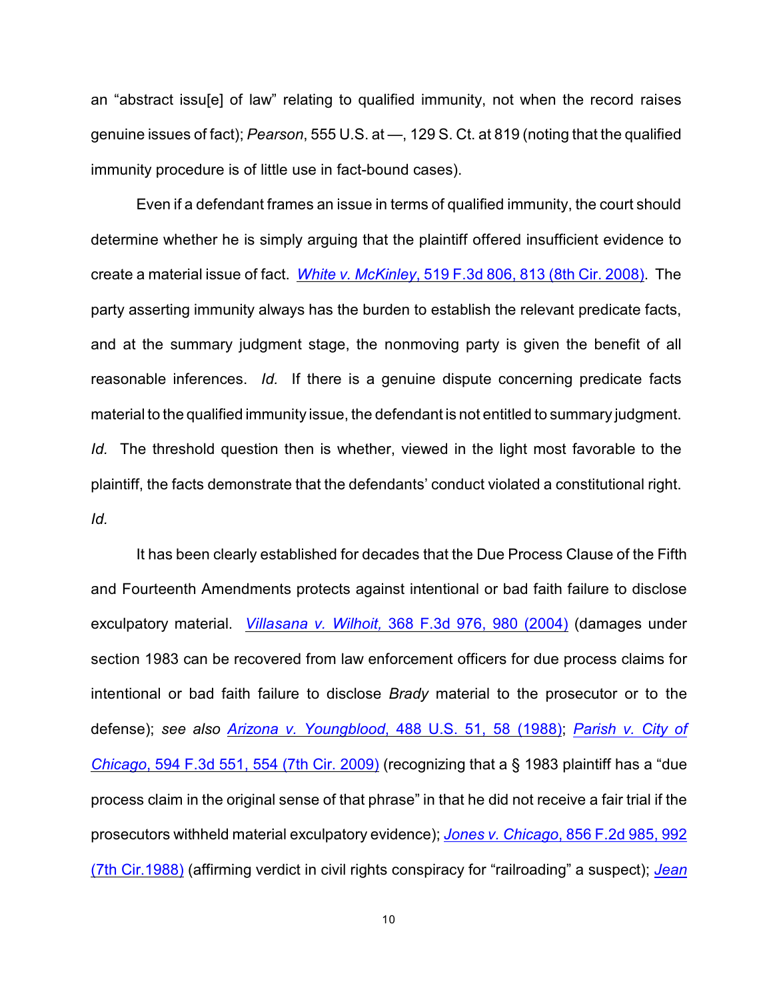an "abstract issu[e] of law" relating to qualified immunity, not when the record raises genuine issues of fact); *Pearson*, 555 U.S. at —, 129 S. Ct. at 819 (noting that the qualified immunity procedure is of little use in fact-bound cases).

Even if a defendant frames an issue in terms of qualified immunity, the court should determine whether he is simply arguing that the plaintiff offered insufficient evidence to create a material issue of fact. *White v. McKinley*[, 519 F.3d 806, 813 \(8th Cir. 2008\)](http://www.westlaw.com/find/default.wl?rs=CLWP3.0&vr=2.0&cite=519+F.3d+806). The party asserting immunity always has the burden to establish the relevant predicate facts, and at the summary judgment stage, the nonmoving party is given the benefit of all reasonable inferences. *Id.* If there is a genuine dispute concerning predicate facts material to the qualified immunity issue, the defendant is not entitled to summary judgment. *Id.* The threshold question then is whether, viewed in the light most favorable to the plaintiff, the facts demonstrate that the defendants' conduct violated a constitutional right. *Id.*

It has been clearly established for decades that the Due Process Clause of the Fifth and Fourteenth Amendments protects against intentional or bad faith failure to disclose exculpatory material. *Villasana v. Wilhoit,* [368 F.3d 976, 980 \(2004\)](http://www.westlaw.com/find/default.wl?rs=CLWP3.0&vr=2.0&cite=368+F.3d+976) (damages under section 1983 can be recovered from law enforcement officers for due process claims for intentional or bad faith failure to disclose *Brady* material to the prosecutor or to the defense); *see also Arizona v. Youngblood*[, 488 U.S. 51, 58 \(1988\)](http://www.westlaw.com/find/default.wl?rs=CLWP3.0&vr=2.0&cite=488+U.S.+51); *[Parish v. City of](http://www.westlaw.com/find/default.wl?rs=CLWP3.0&vr=2.0&cite=594+F.3d+551) Chicago*[, 594 F.3d 551, 554 \(7th Cir. 2009\)](http://www.westlaw.com/find/default.wl?rs=CLWP3.0&vr=2.0&cite=594+F.3d+551) (recognizing that a § 1983 plaintiff has a "due process claim in the original sense of that phrase" in that he did not receive a fair trial if the prosecutors withheld material exculpatory evidence); *Jones v. Chicago*[, 856 F.2d 985, 992](http://www.westlaw.com/find/default.wl?rs=CLWP3.0&vr=2.0&cite=856+F.2d+985) [\(7th Cir.1988\)](http://www.westlaw.com/find/default.wl?rs=CLWP3.0&vr=2.0&cite=856+F.2d+985) (affirming verdict in civil rights conspiracy for "railroading" a suspect); *[Jean](http://www.westlaw.com/find/default.wl?rs=CLWP3.0&vr=2.0&cite=221+F.3d+656)*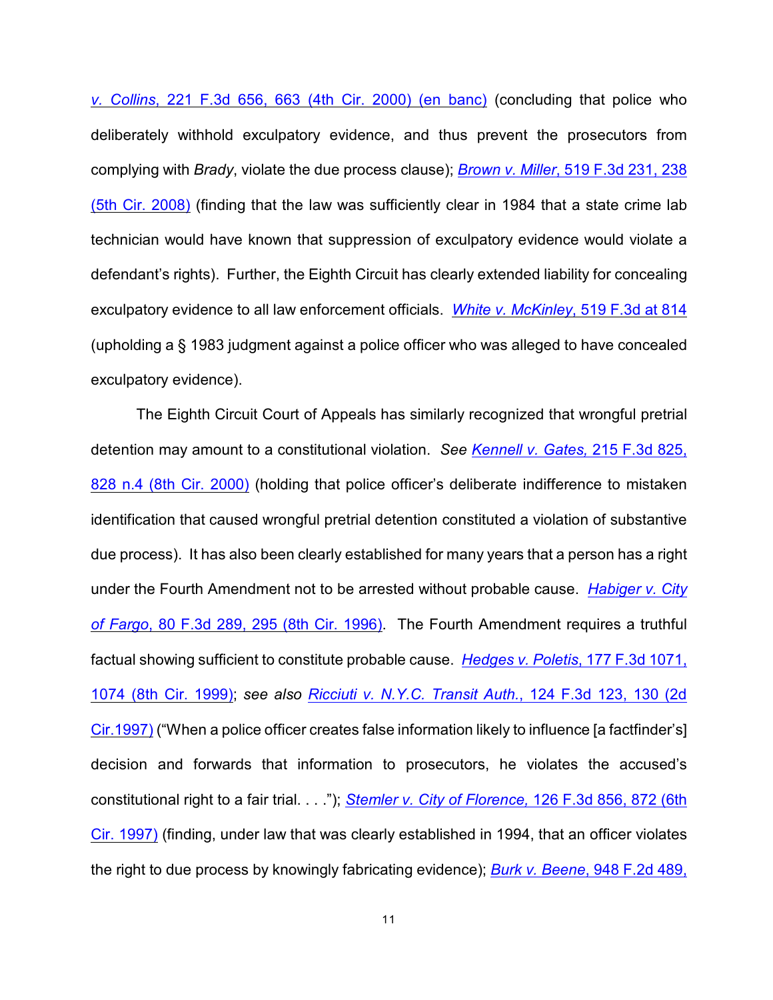*v. Collins*, 221 F.3d 656, 663 (4th Cir. 2000) (en banc) (concluding that police who deliberately withhold exculpatory evidence, and thus prevent the prosecutors from complying with *Brady*, violate the due process clause); *Brown v. Miller*[, 519 F.3d 231, 238](http://www.westlaw.com/find/default.wl?rs=CLWP3.0&vr=2.0&cite=519+F.3d+231) [\(5th Cir. 2008\)](http://www.westlaw.com/find/default.wl?rs=CLWP3.0&vr=2.0&cite=519+F.3d+231) (finding that the law was sufficiently clear in 1984 that a state crime lab technician would have known that suppression of exculpatory evidence would violate a defendant's rights). Further, the Eighth Circuit has clearly extended liability for concealing exculpatory evidence to all law enforcement officials. *[White v. McKinley](http://www.westlaw.com/find/default.wl?rs=CLWP3.0&vr=2.0&cite=519+F.3d+814)*, 519 F.3d at 814 (upholding a § 1983 judgment against a police officer who was alleged to have concealed exculpatory evidence).

The Eighth Circuit Court of Appeals has similarly recognized that wrongful pretrial detention may amount to a constitutional violation. *See [Kennell v. Gates,](http://www.westlaw.com/find/default.wl?rs=CLWP3.0&vr=2.0&cite=215+F.3d+825)* 215 F.3d 825, [828 n.4 \(8th Cir. 2000\)](http://www.westlaw.com/find/default.wl?rs=CLWP3.0&vr=2.0&cite=215+F.3d+825) (holding that police officer's deliberate indifference to mistaken identification that caused wrongful pretrial detention constituted a violation of substantive due process). It has also been clearly established for many years that a person has a right under the Fourth Amendment not to be arrested without probable cause. *[Habiger v. City](http://www.westlaw.com/find/default.wl?rs=CLWP3.0&vr=2.0&cite=80+F.3d+289) of Fargo*[, 80 F.3d 289, 295 \(8th Cir. 1996\)](http://www.westlaw.com/find/default.wl?rs=CLWP3.0&vr=2.0&cite=80+F.3d+289). The Fourth Amendment requires a truthful factual showing sufficient to constitute probable cause. *[Hedges v. Poletis](http://www.westlaw.com/find/default.wl?rs=CLWP3.0&vr=2.0&cite=177+F.3d+1071)*, 177 F.3d 1071, [1074 \(8th Cir. 1999\)](http://www.westlaw.com/find/default.wl?rs=CLWP3.0&vr=2.0&cite=177+F.3d+1071); *see also [Ricciuti v. N.Y.C. Transit Auth.](http://www.westlaw.com/find/default.wl?rs=CLWP3.0&vr=2.0&cite=124+F.3d+123)*, 124 F.3d 123, 130 (2d [Cir.1997\)](http://www.westlaw.com/find/default.wl?rs=CLWP3.0&vr=2.0&cite=124+F.3d+123) ("When a police officer creates false information likely to influence [a factfinder's] decision and forwards that information to prosecutors, he violates the accused's constitutional right to a fair trial. . . ."); *[Stemler v. City of Florence,](http://www.westlaw.com/find/default.wl?rs=CLWP3.0&vr=2.0&cite=126+F.3d+856)* 126 F.3d 856, 872 (6th [Cir. 1997\)](http://www.westlaw.com/find/default.wl?rs=CLWP3.0&vr=2.0&cite=126+F.3d+856) (finding, under law that was clearly established in 1994, that an officer violates the right to due process by knowingly fabricating evidence); *Burk v. Beene*[, 948 F.2d 489,](http://www.westlaw.com/find/default.wl?rs=CLWP3.0&vr=2.0&cite=948+F.2d+489)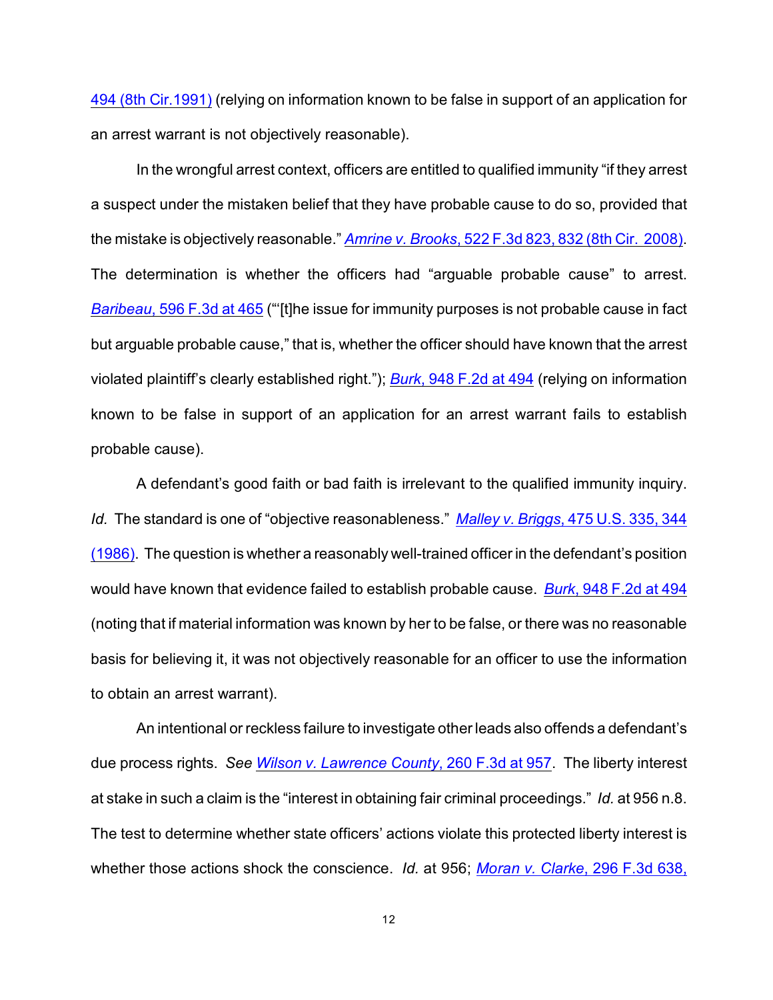494 (8th Cir.1991) (relying on information known to be false in support of an application for an arrest warrant is not objectively reasonable).

In the wrongful arrest context, officers are entitled to qualified immunity "if they arrest a suspect under the mistaken belief that they have probable cause to do so, provided that the mistake is objectively reasonable." *Amrine v. Brooks*[, 522 F.3d 823, 832 \(8th Cir. 2008\)](http://www.westlaw.com/find/default.wl?rs=CLWP3.0&vr=2.0&cite=522+F.3d+823). The determination is whether the officers had "arguable probable cause" to arrest. *Baribeau*[, 596 F.3d at 465](http://www.westlaw.com/find/default.wl?rs=CLWP3.0&vr=2.0&cite=596+F.3d+465) ("'[t]he issue for immunity purposes is not probable cause in fact but arguable probable cause," that is, whether the officer should have known that the arrest violated plaintiff's clearly established right."); *Burk*[, 948 F.2d at 494](http://www.westlaw.com/find/default.wl?rs=CLWP3.0&vr=2.0&cite=948+F.2d+494) (relying on information known to be false in support of an application for an arrest warrant fails to establish probable cause).

A defendant's good faith or bad faith is irrelevant to the qualified immunity inquiry. *Id.* The standard is one of "objective reasonableness." *Malley v. Briggs*[, 475 U.S. 335, 344](http://www.westlaw.com/find/default.wl?rs=CLWP3.0&vr=2.0&cite=475+U.S.+335) [\(1986\)](http://www.westlaw.com/find/default.wl?rs=CLWP3.0&vr=2.0&cite=475+U.S.+335). The question is whether a reasonably well-trained officer in the defendant's position would have known that evidence failed to establish probable cause. *Burk*[, 948 F.2d at 494](http://www.westlaw.com/find/default.wl?rs=CLWP3.0&vr=2.0&cite=948+F.2d+494) (noting that if material information was known by her to be false, or there was no reasonable basis for believing it, it was not objectively reasonable for an officer to use the information to obtain an arrest warrant).

An intentional or reckless failure to investigate other leads also offends a defendant's due process rights. *See [Wilson v. Lawrence County](http://www.westlaw.com/find/default.wl?rs=CLWP3.0&vr=2.0&cite=260+F.3d+957)*, 260 F.3d at 957. The liberty interest at stake in such a claim is the "interest in obtaining fair criminal proceedings." *Id.* at 956 n.8. The test to determine whether state officers' actions violate this protected liberty interest is whether those actions shock the conscience. *Id.* at 956; *[Moran v. Clarke](http://www.westlaw.com/find/default.wl?rs=CLWP3.0&vr=2.0&cite=296+F.3d+638)*, 296 F.3d 638,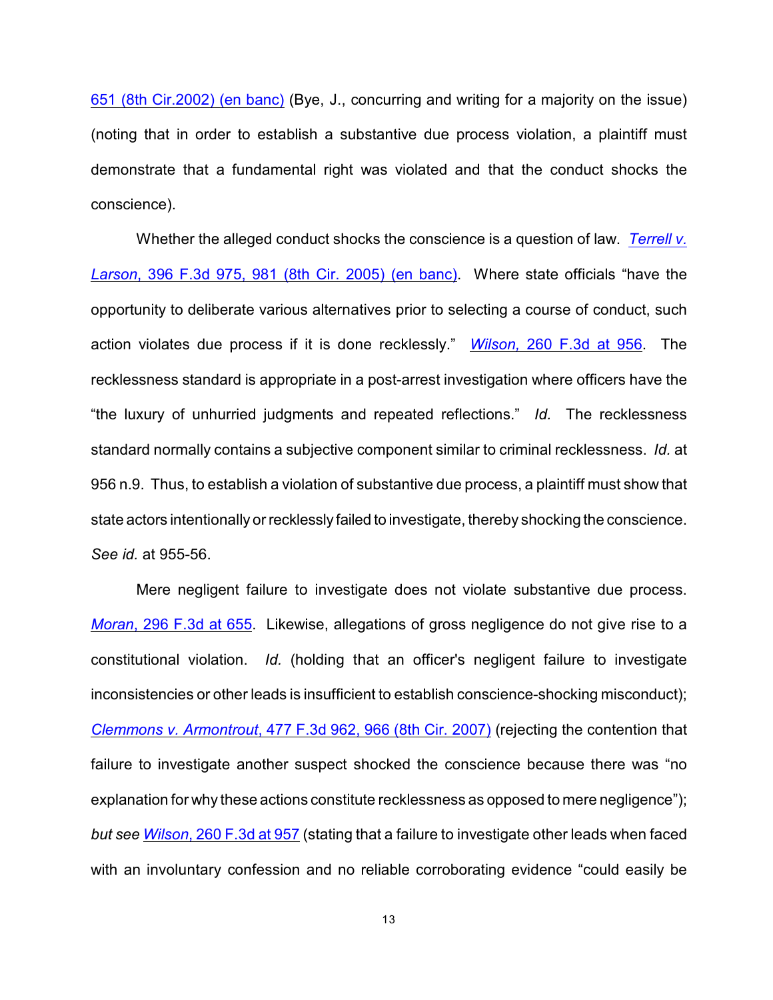651 (8th Cir.2002) (en banc) (Bye, J., concurring and writing for a majority on the issue) (noting that in order to establish a substantive due process violation, a plaintiff must demonstrate that a fundamental right was violated and that the conduct shocks the conscience).

Whether the alleged conduct shocks the conscience is a question of law. *[Terrell v.](http://www.westlaw.com/find/default.wl?rs=CLWP3.0&vr=2.0&cite=396+F.3d+975) Larson*[, 396 F.3d 975, 981 \(8th Cir. 2005\) \(en banc\)](http://www.westlaw.com/find/default.wl?rs=CLWP3.0&vr=2.0&cite=396+F.3d+975). Where state officials "have the opportunity to deliberate various alternatives prior to selecting a course of conduct, such action violates due process if it is done recklessly." *Wilson,* [260 F.3d at 956](http://www.westlaw.com/find/default.wl?rs=CLWP3.0&vr=2.0&cite=260+F.3d+956). The recklessness standard is appropriate in a post-arrest investigation where officers have the "the luxury of unhurried judgments and repeated reflections." *Id.* The recklessness standard normally contains a subjective component similar to criminal recklessness. *Id.* at 956 n.9. Thus, to establish a violation of substantive due process, a plaintiff must show that state actors intentionally or recklessly failed to investigate, thereby shocking the conscience. *See id.* at 955-56.

Mere negligent failure to investigate does not violate substantive due process. *Moran*[, 296 F.3d at 655](http://www.westlaw.com/find/default.wl?rs=CLWP3.0&vr=2.0&cite=296+F.3d+655). Likewise, allegations of gross negligence do not give rise to a constitutional violation. *Id.* (holding that an officer's negligent failure to investigate inconsistencies or other leads is insufficient to establish conscience-shocking misconduct); *Clemmons v. Armontrout*[, 477 F.3d 962, 966 \(8th Cir. 2007\)](http://www.westlaw.com/find/default.wl?rs=CLWP3.0&vr=2.0&cite=477+F.3d+962) (rejecting the contention that failure to investigate another suspect shocked the conscience because there was "no explanation for why these actions constitute recklessness as opposed to mere negligence"); *but see Wilson*[, 260 F.3d at 957](http://www.westlaw.com/find/default.wl?rs=CLWP3.0&vr=2.0&cite=260+F.3d+957) (stating that a failure to investigate other leads when faced with an involuntary confession and no reliable corroborating evidence "could easily be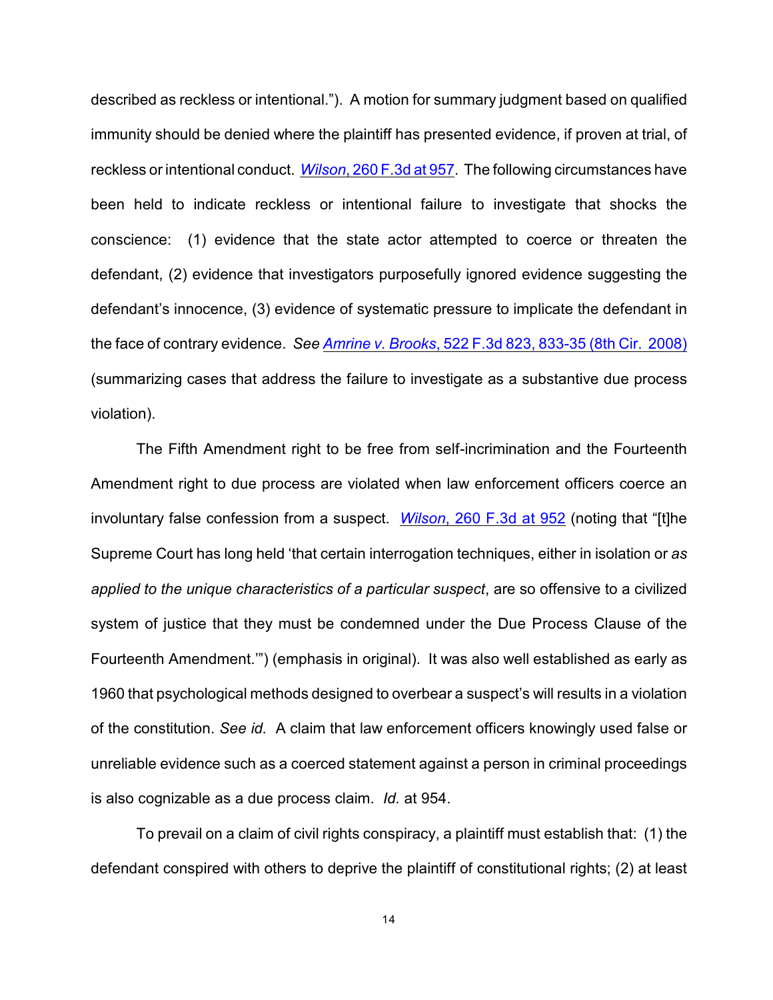described as reckless or intentional."). A motion for summary judgment based on qualified immunity should be denied where the plaintiff has presented evidence, if proven at trial, of reckless or intentional conduct. *Wilson*[, 260 F.3d at 957](http://www.westlaw.com/find/default.wl?rs=CLWP3.0&vr=2.0&cite=260+F.3d+957). The following circumstances have been held to indicate reckless or intentional failure to investigate that shocks the conscience: (1) evidence that the state actor attempted to coerce or threaten the defendant, (2) evidence that investigators purposefully ignored evidence suggesting the defendant's innocence, (3) evidence of systematic pressure to implicate the defendant in the face of contrary evidence. *See Amrine v. Brooks*[, 522 F.3d 823, 833-35 \(8th Cir. 2008\)](http://www.westlaw.com/find/default.wl?rs=CLWP3.0&vr=2.0&cite=522+F.3d+823) (summarizing cases that address the failure to investigate as a substantive due process violation).

The Fifth Amendment right to be free from self-incrimination and the Fourteenth Amendment right to due process are violated when law enforcement officers coerce an involuntary false confession from a suspect. *Wilson*[, 260 F.3d at 952](http://www.westlaw.com/find/default.wl?rs=CLWP3.0&vr=2.0&cite=260+F.3d+952) (noting that "[t]he Supreme Court has long held 'that certain interrogation techniques, either in isolation or *as applied to the unique characteristics of a particular suspect*, are so offensive to a civilized system of justice that they must be condemned under the Due Process Clause of the Fourteenth Amendment.'") (emphasis in original). It was also well established as early as 1960 that psychological methods designed to overbear a suspect's will results in a violation of the constitution. *See id.* A claim that law enforcement officers knowingly used false or unreliable evidence such as a coerced statement against a person in criminal proceedings is also cognizable as a due process claim. *Id.* at 954.

To prevail on a claim of civil rights conspiracy, a plaintiff must establish that: (1) the defendant conspired with others to deprive the plaintiff of constitutional rights; (2) at least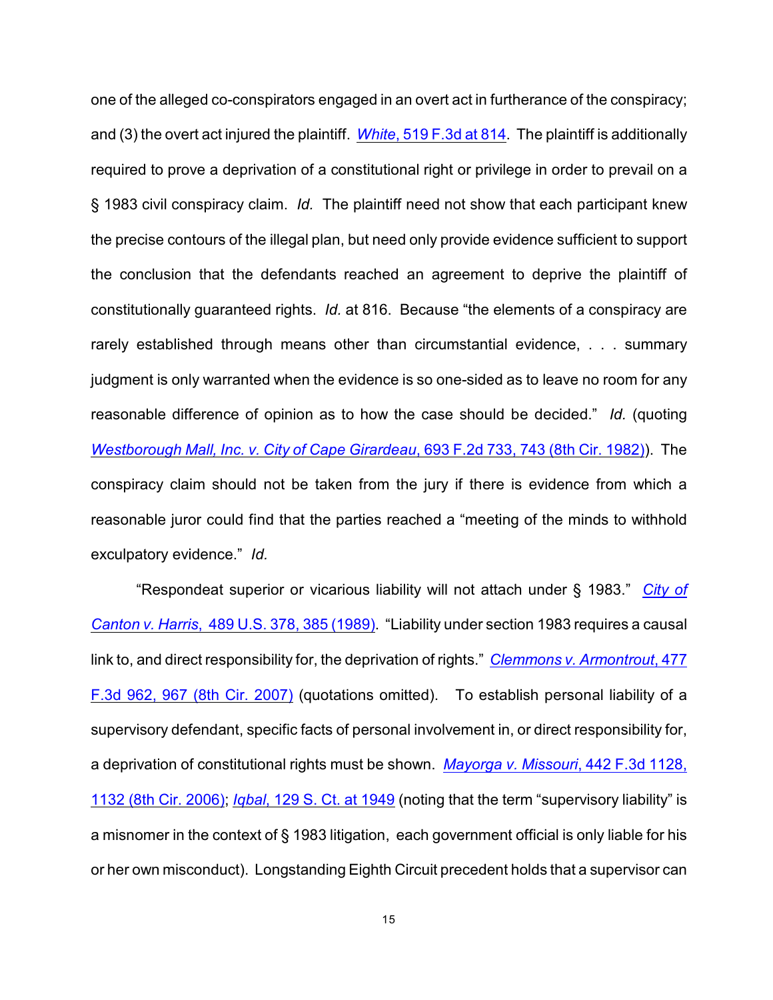one of the alleged co-conspirators engaged in an overt act in furtherance of the conspiracy; and (3) the overt act injured the plaintiff. *White*[, 519 F.3d at 814](http://www.westlaw.com/find/default.wl?rs=CLWP3.0&vr=2.0&cite=519+F.3d+814). The plaintiff is additionally required to prove a deprivation of a constitutional right or privilege in order to prevail on a § 1983 civil conspiracy claim. *Id.* The plaintiff need not show that each participant knew the precise contours of the illegal plan, but need only provide evidence sufficient to support the conclusion that the defendants reached an agreement to deprive the plaintiff of constitutionally guaranteed rights. *Id.* at 816. Because "the elements of a conspiracy are rarely established through means other than circumstantial evidence, . . . summary judgment is only warranted when the evidence is so one-sided as to leave no room for any reasonable difference of opinion as to how the case should be decided." *Id.* (quoting *[Westborough Mall, Inc. v. City of Cape Girardeau](http://www.westlaw.com/find/default.wl?rs=CLWP3.0&vr=2.0&cite=693+F.2d+733)*, 693 F.2d 733, 743 (8th Cir. 1982)). The conspiracy claim should not be taken from the jury if there is evidence from which a reasonable juror could find that the parties reached a "meeting of the minds to withhold exculpatory evidence." *Id.*

"Respondeat superior or vicarious liability will not attach under § 1983." *[City of](http://www.westlaw.com/find/default.wl?rs=CLWP3.0&vr=2.0&cite=489+U.S.+378) Canton v. Harris*[, 489 U.S. 378, 385 \(1989\)](http://www.westlaw.com/find/default.wl?rs=CLWP3.0&vr=2.0&cite=489+U.S.+378). "Liability under section 1983 requires a causal link to, and direct responsibility for, the deprivation of rights." *[Clemmons v. Armontrout](http://www.westlaw.com/find/default.wl?rs=CLWP3.0&vr=2.0&cite=477+F.3d+962)*, 477 [F.3d 962, 967 \(8th Cir. 2007\)](http://www.westlaw.com/find/default.wl?rs=CLWP3.0&vr=2.0&cite=477+F.3d+962) (quotations omitted). To establish personal liability of a supervisory defendant, specific facts of personal involvement in, or direct responsibility for, a deprivation of constitutional rights must be shown. *[Mayorga v. Missouri](http://www.westlaw.com/find/default.wl?rs=CLWP3.0&vr=2.0&cite=442+F.3d+1128)*, 442 F.3d 1128, [1132 \(8th Cir. 2006\)](http://www.westlaw.com/find/default.wl?rs=CLWP3.0&vr=2.0&cite=442+F.3d+1128); *Iqbal*[, 129 S. Ct. at 1949](http://www.westlaw.com/find/default.wl?rs=CLWP3.0&vr=2.0&cite=129+S.Ct.+1949) (noting that the term "supervisory liability" is a misnomer in the context of § 1983 litigation, each government official is only liable for his or her own misconduct). Longstanding Eighth Circuit precedent holds that a supervisor can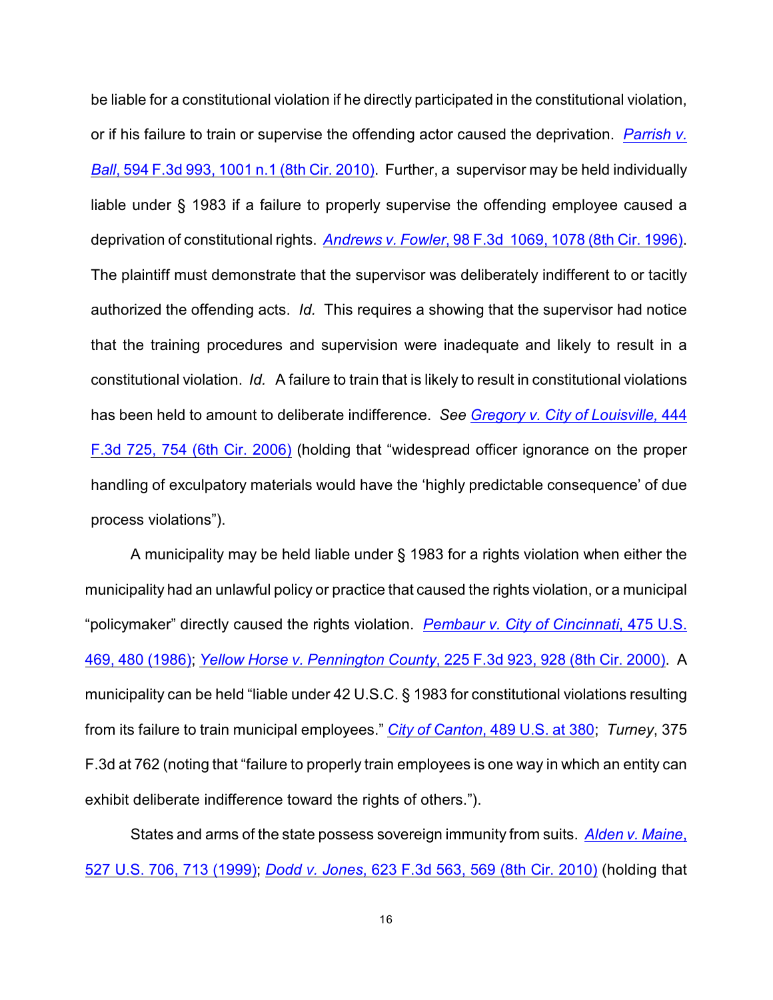be liable for a constitutional violation if he directly participated in the constitutional violation, or if his failure to train or supervise the offending actor caused the deprivation. *[Parrish v.](http://www.westlaw.com/find/default.wl?rs=CLWP3.0&vr=2.0&cite=594+F.3d+993) Ball*[, 594 F.3d 993, 1001 n.1 \(8th Cir. 2010\)](http://www.westlaw.com/find/default.wl?rs=CLWP3.0&vr=2.0&cite=594+F.3d+993). Further, a supervisor may be held individually liable under § 1983 if a failure to properly supervise the offending employee caused a deprivation of constitutional rights. *Andrews v. Fowler*[, 98 F.3d 1069, 1078 \(8th Cir. 1996\)](http://www.westlaw.com/find/default.wl?rs=CLWP3.0&vr=2.0&cite=98+F.3d+1069). The plaintiff must demonstrate that the supervisor was deliberately indifferent to or tacitly authorized the offending acts. *Id.* This requires a showing that the supervisor had notice that the training procedures and supervision were inadequate and likely to result in a constitutional violation. *Id.* A failure to train that is likely to result in constitutional violations has been held to amount to deliberate indifference. *See [Gregory v. City of Louisville,](http://www.westlaw.com/find/default.wl?rs=CLWP3.0&vr=2.0&cite=444+F.3d+725)* 444 [F.3d 725, 754 \(6th Cir. 2006\)](http://www.westlaw.com/find/default.wl?rs=CLWP3.0&vr=2.0&cite=444+F.3d+725) (holding that "widespread officer ignorance on the proper handling of exculpatory materials would have the 'highly predictable consequence' of due process violations").

A municipality may be held liable under § 1983 for a rights violation when either the municipality had an unlawful policy or practice that caused the rights violation, or a municipal "policymaker" directly caused the rights violation. *[Pembaur v. City of Cincinnati](http://www.westlaw.com/find/default.wl?rs=CLWP3.0&vr=2.0&cite=475+U.S.+469)*, 475 U.S. [469, 480 \(1986\)](http://www.westlaw.com/find/default.wl?rs=CLWP3.0&vr=2.0&cite=475+U.S.+469); *[Yellow Horse v. Pennington County](http://www.westlaw.com/find/default.wl?rs=CLWP3.0&vr=2.0&cite=225+F.3d+923)*, 225 F.3d 923, 928 (8th Cir. 2000). A municipality can be held "liable under 42 U.S.C. § 1983 for constitutional violations resulting from its failure to train municipal employees." *City of Canton*[, 489 U.S. at 380](http://www.westlaw.com/find/default.wl?rs=CLWP3.0&vr=2.0&cite=489+U.S.+380); *Turney*, 375 F.3d at 762 (noting that "failure to properly train employees is one way in which an entity can exhibit deliberate indifference toward the rights of others.").

States and arms of the state possess sovereign immunity from suits. *[Alden v. Maine](http://www.westlaw.com/find/default.wl?rs=CLWP3.0&vr=2.0&cite=527+U.S.+706)*, [527 U.S. 706, 713 \(1999\)](http://www.westlaw.com/find/default.wl?rs=CLWP3.0&vr=2.0&cite=527+U.S.+706); *Dodd v. Jones*[, 623 F.3d 563, 569 \(8th Cir. 2010\)](http://www.westlaw.com/find/default.wl?rs=CLWP3.0&vr=2.0&cite=623+F.3d+563) (holding that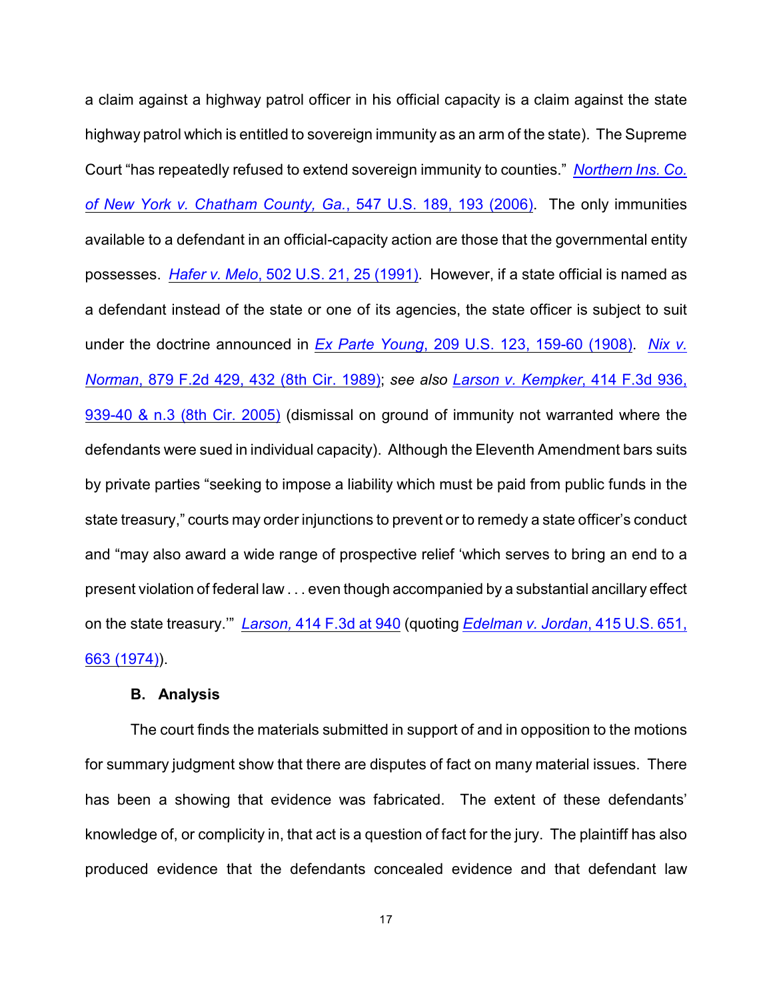a claim against a highway patrol officer in his official capacity is a claim against the state highway patrol which is entitled to sovereign immunity as an arm of the state). The Supreme Court "has repeatedly refused to extend sovereign immunity to counties." *[Northern Ins. Co.](http://www.westlaw.com/find/default.wl?rs=CLWP3.0&vr=2.0&cite=547+U.S.+189) [of New York v. Chatham County, Ga.](http://www.westlaw.com/find/default.wl?rs=CLWP3.0&vr=2.0&cite=547+U.S.+189)*, 547 U.S. 189, 193 (2006). The only immunities available to a defendant in an official-capacity action are those that the governmental entity possesses. *Hafer v. Melo*[, 502 U.S. 21, 25 \(1991\)](http://www.westlaw.com/find/default.wl?rs=CLWP3.0&vr=2.0&cite=502+U.S.+21). However, if a state official is named as a defendant instead of the state or one of its agencies, the state officer is subject to suit under the doctrine announced in *Ex Parte Young*[, 209 U.S. 123, 159-60 \(1908\)](http://www.westlaw.com/find/default.wl?rs=CLWP3.0&vr=2.0&cite=209+U.S.+123). *[Nix v.](http://www.westlaw.com/find/default.wl?rs=CLWP3.0&vr=2.0&cite=879+F.2d+429) Norman*[, 879 F.2d 429, 432 \(8th Cir. 1989\)](http://www.westlaw.com/find/default.wl?rs=CLWP3.0&vr=2.0&cite=879+F.2d+429); *see also [Larson v. Kempker](http://www.westlaw.com/find/default.wl?rs=CLWP3.0&vr=2.0&cite=414+F.3d+936)*, 414 F.3d 936, [939-40 & n.3 \(8th Cir. 2005\)](http://www.westlaw.com/find/default.wl?rs=CLWP3.0&vr=2.0&cite=414+F.3d+936) (dismissal on ground of immunity not warranted where the defendants were sued in individual capacity). Although the Eleventh Amendment bars suits by private parties "seeking to impose a liability which must be paid from public funds in the state treasury," courts may order injunctions to prevent or to remedy a state officer's conduct and "may also award a wide range of prospective relief 'which serves to bring an end to a present violation of federal law . . . even though accompanied by a substantial ancillary effect on the state treasury.'" *Larson,* [414 F.3d at 940](http://www.westlaw.com/find/default.wl?rs=CLWP3.0&vr=2.0&cite=414+F.3d+940) (quoting *[Edelman v. Jordan](http://www.westlaw.com/find/default.wl?rs=CLWP3.0&vr=2.0&cite=415+U.S.+651)*, 415 U.S. 651, [663 \(1974\)](http://www.westlaw.com/find/default.wl?rs=CLWP3.0&vr=2.0&cite=415+U.S.+651)).

## **B. Analysis**

The court finds the materials submitted in support of and in opposition to the motions for summary judgment show that there are disputes of fact on many material issues. There has been a showing that evidence was fabricated. The extent of these defendants' knowledge of, or complicity in, that act is a question of fact for the jury. The plaintiff has also produced evidence that the defendants concealed evidence and that defendant law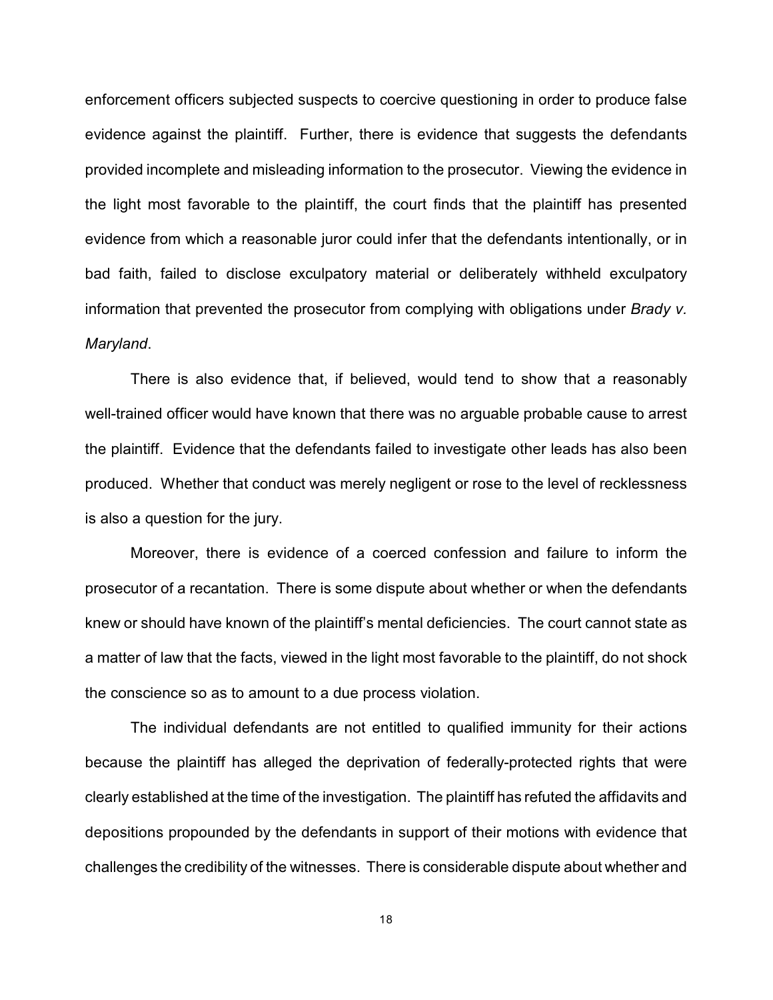enforcement officers subjected suspects to coercive questioning in order to produce false evidence against the plaintiff. Further, there is evidence that suggests the defendants provided incomplete and misleading information to the prosecutor. Viewing the evidence in the light most favorable to the plaintiff, the court finds that the plaintiff has presented evidence from which a reasonable juror could infer that the defendants intentionally, or in bad faith, failed to disclose exculpatory material or deliberately withheld exculpatory information that prevented the prosecutor from complying with obligations under *Brady v. Maryland*.

There is also evidence that, if believed, would tend to show that a reasonably well-trained officer would have known that there was no arguable probable cause to arrest the plaintiff. Evidence that the defendants failed to investigate other leads has also been produced. Whether that conduct was merely negligent or rose to the level of recklessness is also a question for the jury.

Moreover, there is evidence of a coerced confession and failure to inform the prosecutor of a recantation. There is some dispute about whether or when the defendants knew or should have known of the plaintiff's mental deficiencies. The court cannot state as a matter of law that the facts, viewed in the light most favorable to the plaintiff, do not shock the conscience so as to amount to a due process violation.

The individual defendants are not entitled to qualified immunity for their actions because the plaintiff has alleged the deprivation of federally-protected rights that were clearly established at the time of the investigation. The plaintiff has refuted the affidavits and depositions propounded by the defendants in support of their motions with evidence that challenges the credibility of the witnesses. There is considerable dispute about whether and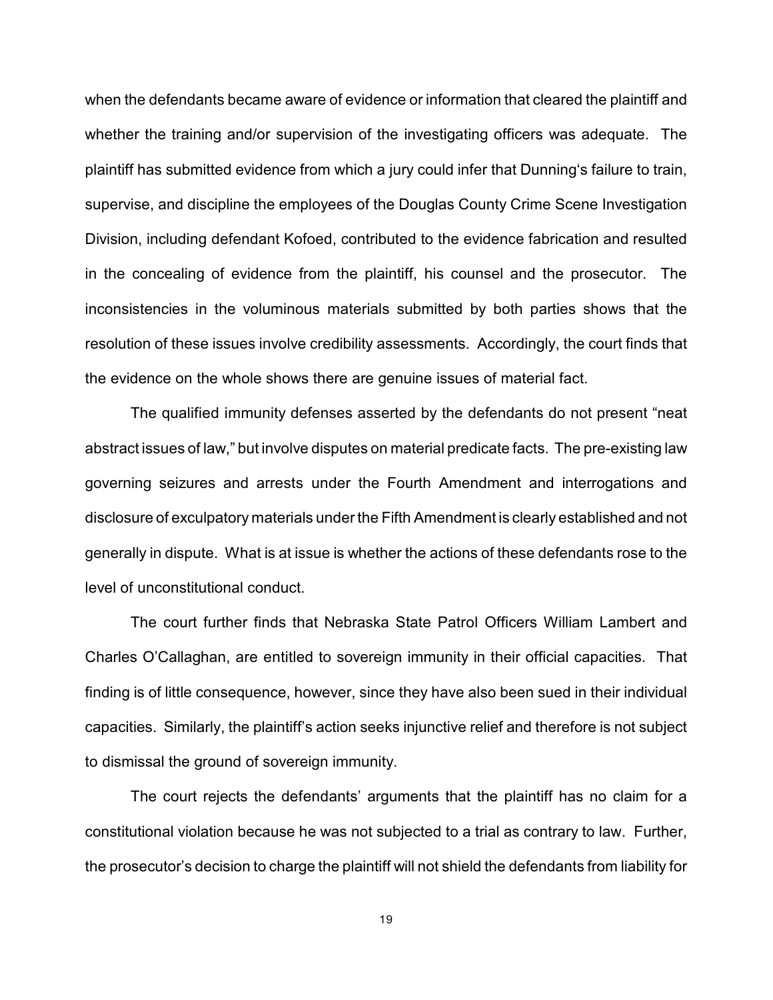when the defendants became aware of evidence or information that cleared the plaintiff and whether the training and/or supervision of the investigating officers was adequate. The plaintiff has submitted evidence from which a jury could infer that Dunning's failure to train, supervise, and discipline the employees of the Douglas County Crime Scene Investigation Division, including defendant Kofoed, contributed to the evidence fabrication and resulted in the concealing of evidence from the plaintiff, his counsel and the prosecutor. The inconsistencies in the voluminous materials submitted by both parties shows that the resolution of these issues involve credibility assessments. Accordingly, the court finds that the evidence on the whole shows there are genuine issues of material fact.

The qualified immunity defenses asserted by the defendants do not present "neat abstract issues of law," but involve disputes on material predicate facts. The pre-existing law governing seizures and arrests under the Fourth Amendment and interrogations and disclosure of exculpatory materials under the Fifth Amendment is clearly established and not generally in dispute. What is at issue is whether the actions of these defendants rose to the level of unconstitutional conduct.

The court further finds that Nebraska State Patrol Officers William Lambert and Charles O'Callaghan, are entitled to sovereign immunity in their official capacities. That finding is of little consequence, however, since they have also been sued in their individual capacities. Similarly, the plaintiff's action seeks injunctive relief and therefore is not subject to dismissal the ground of sovereign immunity.

The court rejects the defendants' arguments that the plaintiff has no claim for a constitutional violation because he was not subjected to a trial as contrary to law. Further, the prosecutor's decision to charge the plaintiff will not shield the defendants from liability for